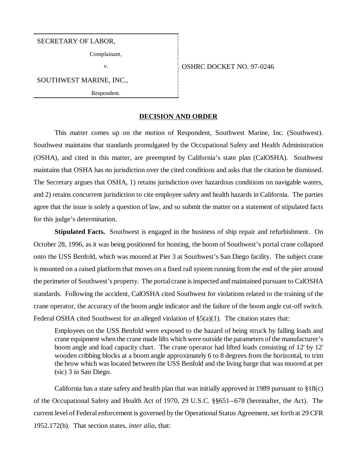#### SECRETARY OF LABOR,

Complainant,

SOUTHWEST MARINE, INC.,

Respondent.

## v. 6 0SHRC DOCKET NO. 97-0246

#### **DECISION AND ORDER**

This matter comes up on the motion of Respondent, Southwest Marine, Inc. (Southwest). Southwest maintains that standards promulgated by the Occupational Safety and Health Administration (OSHA), and cited in this matter, are preempted by California's state plan (CalOSHA). Southwest maintains that OSHA has no jurisdiction over the cited conditions and asks that the citation be dismissed. The Secretary argues that OSHA, 1) retains jurisdiction over hazardous conditions on navigable waters, and 2) retains concurrent jurisdiction to cite employee safety and health hazards in California. The parties agree that the issue is solely a question of law, and so submit the matter on a statement of stipulated facts for this judge's determination.

**Stipulated Facts.** Southwest is engaged in the business of ship repair and refurbishment. On October 28, 1996, as it was being positioned for hoisting, the boom of Southwest's portal crane collapsed onto the USS Benfold, which was moored at Pier 3 at Southwest's San Diego facility. The subject crane is mounted on a raised platform that moves on a fixed rail system running from the end of the pier around the perimeter of Southwest's property. The portal crane is inspected and maintained pursuant to CalOSHA standards. Following the accident, CalOSHA cited Southwest for violations related to the training of the crane operator, the accuracy of the boom angle indicator and the failure of the boom angle cut-off switch. Federal OSHA cited Southwest for an alleged violation of  $\S(2)(1)$ . The citation states that:

Employees on the USS Benfold were exposed to the hazard of being struck by falling loads and crane equipment when the crane made lifts which were outside the parameters of the manufacturer's boom angle and load capacity chart. The crane operator had lifted loads consisting of 12' by 12' wooden cribbing blocks at a boom angle approximately 6 to 8 degrees from the horizontal, to trim the brow which was located between the USS Benfold and the living barge that was moored at per (sic) 3 in San Diego.

California has a state safety and health plan that was initially approved in 1989 pursuant to §18(c) of the Occupational Safety and Health Act of 1970, 29 U.S.C. §§651--678 (hereinafter, the Act). The current level of Federal enforcement is governed by the Operational Status Agreement, set forth at 29 CFR 1952.172(b). That section states, *inter alia*, that: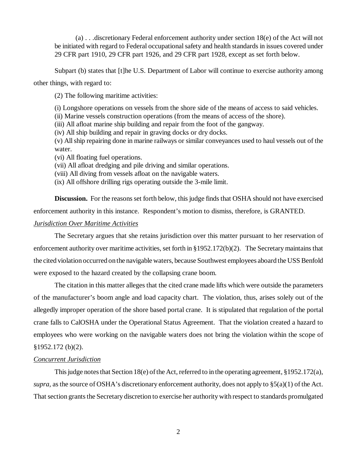(a) . . .discretionary Federal enforcement authority under section 18(e) of the Act will not be initiated with regard to Federal occupational safety and health standards in issues covered under 29 CFR part 1910, 29 CFR part 1926, and 29 CFR part 1928, except as set forth below.

Subpart (b) states that [t]he U.S. Department of Labor will continue to exercise authority among

other things, with regard to:

(2) The following maritime activities:

(i) Longshore operations on vessels from the shore side of the means of access to said vehicles.

(ii) Marine vessels construction operations (from the means of access of the shore).

(iii) All afloat marine ship building and repair from the foot of the gangway.

(iv) All ship building and repair in graving docks or dry docks.

(v) All ship repairing done in marine railways or similar conveyances used to haul vessels out of the water.

(vi) All floating fuel operations.

(vii) All afloat dredging and pile driving and similar operations.

(viii) All diving from vessels afloat on the navigable waters.

(ix) All offshore drilling rigs operating outside the 3-mile limit.

**Discussion.** For the reasons set forth below, this judge finds that OSHA should not have exercised enforcement authority in this instance. Respondent's motion to dismiss, therefore, is GRANTED.

# *Jurisdiction Over Maritime Activities*

The Secretary argues that she retains jurisdiction over this matter pursuant to her reservation of enforcement authority over maritime activities, set forth in §1952.172(b)(2). The Secretary maintains that the cited violation occurred on the navigable waters, because Southwest employees aboard the USS Benfold were exposed to the hazard created by the collapsing crane boom.

The citation in this matter alleges that the cited crane made lifts which were outside the parameters of the manufacturer's boom angle and load capacity chart. The violation, thus, arises solely out of the allegedly improper operation of the shore based portal crane. It is stipulated that regulation of the portal crane falls to CalOSHA under the Operational Status Agreement. That the violation created a hazard to employees who were working on the navigable waters does not bring the violation within the scope of §1952.172 (b)(2).

## *Concurrent Jurisdiction*

This judge notes that Section 18(e) of the Act, referred to in the operating agreement,  $\S 1952.172(a)$ , *supra,* as the source of OSHA's discretionary enforcement authority, does not apply to §5(a)(1) of the Act. That section grants the Secretary discretion to exercise her authority with respect to standards promulgated